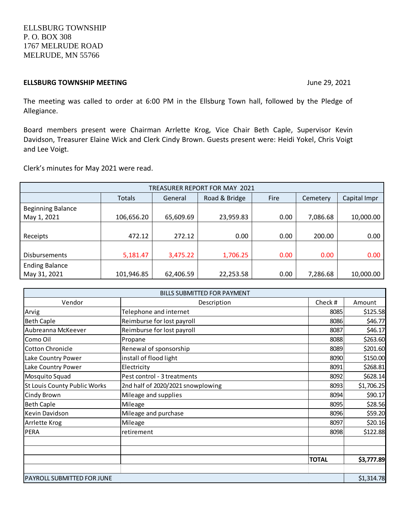ELLSBURG TOWNSHIP P. O. BOX 308 1767 MELRUDE ROAD MELRUDE, MN 55766

#### **ELLSBURG TOWNSHIP MEETING IDEALLY AND THE UP AT A LIGHTER SETTING June 29, 2021**

The meeting was called to order at 6:00 PM in the Ellsburg Town hall, followed by the Pledge of Allegiance.

Board members present were Chairman Arrlette Krog, Vice Chair Beth Caple, Supervisor Kevin Davidson, Treasurer Elaine Wick and Clerk Cindy Brown. Guests present were: Heidi Yokel, Chris Voigt and Lee Voigt.

Clerk's minutes for May 2021 were read.

| TREASURER REPORT FOR MAY 2021 |            |           |               |      |          |              |  |
|-------------------------------|------------|-----------|---------------|------|----------|--------------|--|
|                               | Totals     | General   | Road & Bridge | Fire | Cemetery | Capital Impr |  |
| <b>Beginning Balance</b>      |            |           |               |      |          |              |  |
| May 1, 2021                   | 106,656.20 | 65,609.69 | 23,959.83     | 0.00 | 7,086.68 | 10,000.00    |  |
|                               |            |           |               |      |          |              |  |
| Receipts                      | 472.12     | 272.12    | 0.00          | 0.00 | 200.00   | 0.00         |  |
|                               |            |           |               |      |          |              |  |
| <b>Disbursements</b>          | 5,181.47   | 3,475.22  | 1,706.25      | 0.00 | 0.00     | 0.00         |  |
| <b>Ending Balance</b>         |            |           |               |      |          |              |  |
| May 31, 2021                  | 101,946.85 | 62,406.59 | 22,253.58     | 0.00 | 7,286.68 | 10,000.00    |  |

|                              | <b>BILLS SUBMITTED FOR PAYMENT</b> |              |            |
|------------------------------|------------------------------------|--------------|------------|
| Vendor                       | Description                        | Check #      | Amount     |
| Arvig                        | Telephone and internet             | 8085         | \$125.58   |
| <b>Beth Caple</b>            | Reimburse for lost payroll         | 8086         | \$46.77    |
| Aubreanna McKeever           | Reimburse for lost payroll         | 8087         | \$46.17    |
| Como Oil                     | Propane                            | 8088         | \$263.60   |
| <b>Cotton Chronicle</b>      | Renewal of sponsorship             | 8089         | \$201.60   |
| Lake Country Power           | install of flood light             | 8090         | \$150.00   |
| Lake Country Power           | Electricity                        | 8091         | \$268.81   |
| Mosquito Squad               | Pest control - 3 treatments        | 8092         | \$628.14   |
| St Louis County Public Works | 2nd half of 2020/2021 snowplowing  | 8093         | \$1,706.25 |
| Cindy Brown                  | Mileage and supplies               | 8094         | \$90.17    |
| <b>Beth Caple</b>            | Mileage                            | 8095         | \$28.56    |
| Kevin Davidson               | Mileage and purchase               | 8096         | \$59.20    |
| Arrlette Krog                | Mileage                            | 8097         | \$20.16    |
| PERA                         | retirement                         | 8098         | \$122.88   |
|                              |                                    |              |            |
|                              |                                    |              |            |
|                              |                                    | <b>TOTAL</b> | \$3,777.89 |
|                              |                                    |              |            |
| PAYROLL SUBMITTED FOR JUNE   |                                    |              | \$1,314.78 |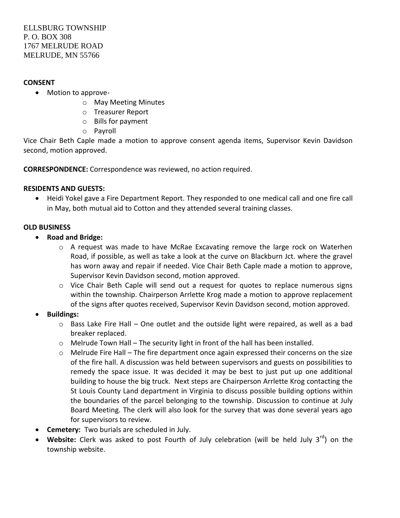### **CONSENT**

- Motion to approve
	- o May Meeting Minutes
	- o Treasurer Report
	- o Bills for payment
	- o Payroll

Vice Chair Beth Caple made a motion to approve consent agenda items, Supervisor Kevin Davidson second, motion approved.

**CORRESPONDENCE:** Correspondence was reviewed, no action required.

# **RESIDENTS AND GUESTS:**

 Heidi Yokel gave a Fire Department Report. They responded to one medical call and one fire call in May, both mutual aid to Cotton and they attended several training classes.

# **OLD BUSINESS**

- **Road and Bridge:** 
	- $\circ$  A request was made to have McRae Excavating remove the large rock on Waterhen Road, if possible, as well as take a look at the curve on Blackburn Jct. where the gravel has worn away and repair if needed. Vice Chair Beth Caple made a motion to approve, Supervisor Kevin Davidson second, motion approved.
	- $\circ$  Vice Chair Beth Caple will send out a request for quotes to replace numerous signs within the township. Chairperson Arrlette Krog made a motion to approve replacement of the signs after quotes received, Supervisor Kevin Davidson second, motion approved.
- **Buildings:**
	- o Bass Lake Fire Hall One outlet and the outside light were repaired, as well as a bad breaker replaced.
	- $\circ$  Melrude Town Hall The security light in front of the hall has been installed.
	- o Melrude Fire Hall The fire department once again expressed their concerns on the size of the fire hall. A discussion was held between supervisors and guests on possibilities to remedy the space issue. It was decided it may be best to just put up one additional building to house the big truck. Next steps are Chairperson Arrlette Krog contacting the St Louis County Land department in Virginia to discuss possible building options within the boundaries of the parcel belonging to the township. Discussion to continue at July Board Meeting. The clerk will also look for the survey that was done several years ago for supervisors to review.
- **Cemetery:** Two burials are scheduled in July.
- Website: Clerk was asked to post Fourth of July celebration (will be held July 3<sup>rd</sup>) on the township website.